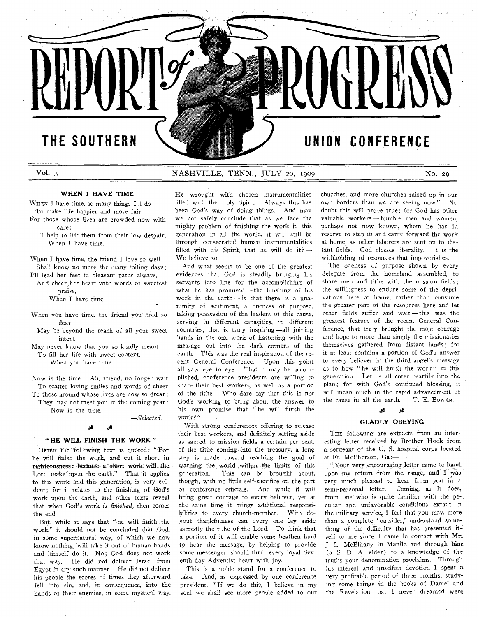# **THE SOUTHERN UNION CONFERENCE**

**REPUE** 

# Vol. 3 NASHVILLE, TENN., JULY 20, 1909 No. 29

### **WHEN I HAVE TIME**

WHEN I have time, so many things I'll do To make life happier and more fair

- For those whose lives are crowded now with care;
	- I'll help to lift them from their low despair, When I have time.

When I have time, the friend I love so well Shall know no more the many toiling days;

I'll lead her feet in pleasant paths always, And cheer her heart with words of sweetest

praise,

When I have time.

When you have time, the friend you hold so dear

May be beyond the reach of all your sweet intent;

May never know that you so kindly meant To fill her life with sweet content, When you have time.

Now is the time. Ah, friend, no longer wait To scatter loving smiles and words of cheer To those around whose lives are now so drear ;

They may not meet you in the coming year :

Now is the time.

*—Selected.* 

# A A

#### **"HE WILL FINISH THE WORK"**

OFTEN the following text is quoted: "For he will finish the work, and cut it short in righteousness: because a short work will the. Lord make upon the earth." That it applies to this work and this generation, is very evident; for it relates to the finishing of God's work upon the earth, and other texts reveal that when God's work is *finished,* then comes the end.

But, while it says that " he will finish the work," it should not be concluded that God, in some supernatural way, of which we now know nothing, Will take it out of human hands and himself do it. No; God does not work that way. He did not deliver Israel from Egypt in any such manner. He did not deliver his people the scores of times they afterward fell into sin, and, in consequence, into the hands of their enemies, in some mystical way.

He wrought with chosen instrumentalities filled with the Holy Spirit. Always this has been God's way of doing things. And may we not safely conclude that as we face the mighty problem of finishing the work in this generation in all the world, it will still be through consecrated human instrumentalities filled with his Spirit, that he will do it? — We believe so.

And what seems to be one of the greatest evidences that God is steadily bringing his servants into line for the accomplishing of what he has promised — the finishing of his work in the earth — is that there is a unanimity of sentiment, a oneness of purpose, taking possession of the leaders of this cause, serving in different capacities, in different countries, that is truly inspiring—all joining hands in the one work of hastening with the message out into the dark corners of the earth. This was the real inspiration of the recent General Conference. Upon this point all saw eye to eye. That it may be accomplished, conference presidents are willing to share their best workers, as well as a portion of the tithe. Who dare say that this is not God's working to bring about the answer to his own promise that " he will finish the work?"

With strong conferences offering to release their best workers, and definitely setting aside as sacred to mission fields a certain, per cent. of the tithe coming into the treasury, a long step is made toward reaching the goal of warning the world ,within the limits of this generation. This can be brought about, though, with no little self-sacrifice on the part of conference officials. And while it will bring great courage to every believer, yet at the same time it brings additional responsibilities to every church-member. With devout thankfulness can every one lay aside sacredly the tithe of the Lord. To think that a portion of it will enable some heathen land to hear the message, by helping to provide some messenger, should thrill every loyal Seventh-day Adventist heart with joy.

This is a noble stand for a conference to take. And, as expressed by one conference president, " If we do this, I believe in my soul we shall see more people added to our

churches, and more churches raised up in our own borders than we are seeing now." No doubt this will prove true; for God has other valuable workers — humble men and women, perhaps not now known, whom he has in reserve to step in and carry forward the work at home, as other laborers are sent on to distant fields. God blesses liberality. It is the withholding of resources that impoverishes.

The oneness of purpose shown by every delegate from the homeland assembled, to share men and tithe with the mission fields; the willingness to endure some of the deprivations here at home, rather than consume the greater part of the resources here and let other fields suffer and wait—this was the greatest feature of the recent General Conference, that truly brought the most courage and hope to more than simply the missionaries themselves gathered from distant lands; for it• at least contains a portion of God's answer to every believer in the third angel's message as to how " he will finish the work" in this generation. Let us all enter heartily into the plan; for with God's continued blessing, it will mean much in the rapid advancement of<br>the cause in all the earth. T. E. BowEN. the cause in all the earth.

#### $\mathscr{X}$   $\mathscr{X}$

#### **GLADLY OBEYING**

THE following are extracts from an interesting letter received by Brother Hook from a sergeant of the U. S. hospital corps located, at Ft. McPherson, Ga

",Your very encouraging letter came to hand, upon my return from the range, and I was very much pleased to hear from you in a semi-personal letter. Coming, as it does, from one who is quite familiar with the peculiar and unfavorable conditions extant in the military service. I feel that you may, more than a complete ' outsider,' understand something of the difficulty that has presented itself to me since I came in contact with Mr.. J. L. McElhany in Manila and through him (a S. D. A. elder) to a knowledge of thetruths your denomination proclaims. Through his interest and unselfish devotion I spent a very profitable period of three months, studying some things in the books of Daniel and the Revelation that I never dreamed were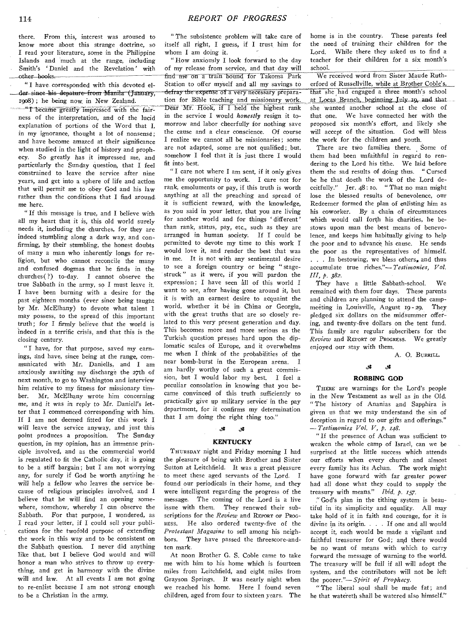there. From this, interest was aroused to know more about this strange doctrine, so I read your literature, some in the Philippine Islands and much at the range, including Smith's ' Daniel and the Revelation' with other—books.

" I have- corresponded with this devoted elder-since-his depature—from-Manila (January, 1908) ; he being now, in New Zealand.

"I became greatly impressed with the fairness of the interpretation, and of the lucid explanation of portions of the Word that I, in my ignorance, thought a lot of nonsense; and have become amazed at their significance when studied in the light of history and prophecy. So greatly has it impressed me, and particularly the Sunday question, that I feel constrained to leave the service after nine years, and get into a sphere of life and action that will permit me to obey God and his law rather than the conditions that I find around. me here.

" If this message is true, and I believe with all my heart that it is, this old world surely needs it, includiug the churches, for they are indeed stumbling along a dark way, and confirming, by their stumbling, the honest doubts of many a man who inherently longs for religion, but who cannot reconcile the many and confused dogmas that he finds in the churches( ?) to-day. I cannot observe the true Sabbath in the army, so I must leave it. I have been burning with a desire for the past eighteen months (ever since being taught by Mr. McElhany) to devote what talent I may possess, to the spread of this important truth; for I firmly believe that the world is indeed in a terrific crisis, and that this is the closing century.

I have, for that purpose, saved my earnings, and have, since being at the range, communicated with Mr. Daniells, and I am anxiously awaiting my discharge the 27th of next month, to go to Washington and interview him relative to my fitness for missionary timber. Mr. McElhany wrote him concerning me, and it was in reply to Mr. Daniell's letter that I commenced corresponding with him. If I am not deemed fitted for this work I will leave the service anyway, and just this point produces a proposition. The Sunday question, in my opinion, has an immense principle involved, and as the commercial world is regulated to fit the Catholic day, it is going to be a stiff bargain; but I am not worrying any, for surely if God be worth anytioing he will help a fellow who *leaves* the service because of religious principles involved, and I believe that he will find an opening somewhere, somehow, whereby I can observe the Sabbath. For that purpose, I wondered, as I read your letter, if I could sell your publications for the twofold purpose of extending the work in this way and to be consistent on the Sabbath question. I never did anything like that, but I believe God would and will -honor a man who *strives* to throw up *everything,* and get in harmony with the divine will and law. At all events I am not going to re-enlist because I am not strong enough to be a Christian in the army.

" The subsistence problem will take care of itself all right, I guess, if I trust him for whom I am doing it.

"How anxiously I look forward to the day of my release from service, and that day will find me on a train bound for Takoma Park Station to offer myself and all my savings to defray the expense of a very necessary preparation for Bible teaching and missionary work. Dear Mr. Hook, if I held the highest rank in the service I would *honestly* resign it tomorrow and labor cheerfully for nothing save the cause and a clear conscience. Of course I realize we cannot all be missionaries ; some are not adapted, some are not qualified; but. somehow I feel that it is just there I would fit into best.

"I care not where I am sent, if it only gives me the opportunity to work. I care not for rank, emoluments or pay, if this truth is worth anything at all the preaching and spread of it is sufficient reward, with the knowledge, as you said in your letter, that you are living for another world and for things ' different' than rank, status, pay, etc., such as they are arranged in human society. If I could be permitted to devote my time to this work I would love it, and render the best that was in me. It is not with any sentimental desire to see a foreign country or being " stagestruck " as it were, if you will pardon the expression; I have seen all of this world I want to see, after having gone around it, but it is with an earnest desire to acquaint the world, whether it be in- China or Georgia, with the great truths that are so closely related to this very present generation and day. This becomes more and more serious as the Turkish question presses hard upon the diplomatic scales of Europe, and it overwhelms me when I think of the probabilities of the near bomb-burst in the European arena. I am hardly worthy of such a great commission, but I would labor my best. I feel a peculiar consolation in knowing that you became convinced of this truth sufficiently to practically give up military service in the pay department, for it confirms my determination that I am doing the right thing too."<br>  $\frac{3}{5}$   $\frac{3}{5}$ 

#### **KENTUCKY**

THURSDAY night and Friday morning I had the pleasure of being with Brother and Sister Sutton at Leitchfield. It was a great pleasure to meet these aged servants of the Lord. I found our periodicals in their home, and they were intelligent regarding the progress of the message. The coming of the Lord is a live issue with them. They renewed their subscriptions for the *Review* and REPORT or PROG-RESS. He also ordered twenty-five of the *Protestant Magazine* to sell among his neighbors. They have passed the threescore-andten mark.

At noon Brother G. S. Coble came to take me with him to his home which is fourteen miles from Leitchfield, and eight, miles from Grayson Springs. It was nearly night when we reached his home. Here I found seven children, aged from four to sixteen years. The home is in the country. These parents feel the need of training their children for the Lord. While there they asked us to find a teacher for their children for a six month's school.

We received word from Sister Maude Rutherford of Russellville, while at Brother Coble's, that she had engaged a three month's school at Locas Branch, beginning July 19, and that she wanted another school at the close of that one. We have connected her with the proposed six month's effort, and likely she will accept of the situation. God will bless the work for the children and youth.

There are two families there. Some of them had been unfaithful in *regard to* rendering to the Lord his tithe. We laid before them the sad results of doing thus. " Cursed be he that doeth the work of the Lord deceitfully." Jer. 48 : Io. " That no man might lose the blessed results of benevolence, our Redeemer formed the plan of enlisting him as his coworker. By a chain of circumstances which would call forth his charities, he bestows upon man the best means of benevolence, and keeps him habitually *giving* to help the poor and to advance his cause. He sends the poor as the representatives of himself. . . . In bestowing, we bless others, and thus accumulate true riches."— *Testimonies, Vol. III, p. 382.* 

They have a little Sabbath-school. We remained with them four days. These parents and children are planning to attend the campmeeting in Louisville, August 19 - 29. They pledged six dollars on the midsummer offering, and twenty-five dollars on the tent fund. This family are regular subscribers for the *Review* and REPORT or PROGRESS. We greatly enjoyed our stay with them.

A. 0. BURRILL.

# 4 4

#### **ROBBING GOD**

THERE are warnings for the Lord's people in the New Testament as well *as* in the Old. " The history of Ananias and Sapphira is given us that we may understand the sin of deception in regard to our gifts and offerings." *—Testimonies Vol. V, p. 148.* 

" If the presence of Achan was sufficient to weaken the whole camp of Israel, can we be surprised at the little success which attends our efforts when every church and almost every family has its Achan. The work might have gone forward with far greater power had all done what they could to supply the treasury with means." *Ibid. p. 157.* 

" God's plan in the tithing system is beautiful in its simplicity and equality. All may take hold of it in faith and courage, for it is divine in its origin. . . . If one and all would accept it, each would be made a vigilant and faithful treasurer for God; and there would be no want of means with which to carry forward the message of warning to the world. The treasury will be full if all will adopt the system, and the contributors will not be left the poorer."— *Spirit of Prophecy.* 

" The liberal soul shall be made fat; and he that watereth shall be watered also himself."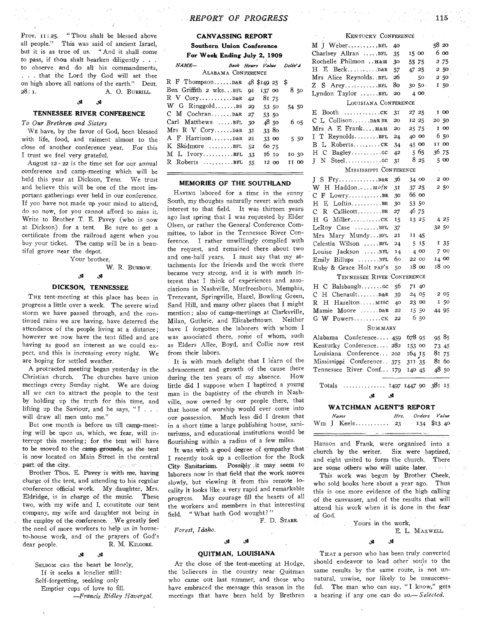Prov. 11:25. " Thou shalt be blessed above all people." This was said of ancient Israel, but it is as true of us. " And it shall come to pass, if thou shalt hearken diligently . . . to observe and do all his commandments, . . . that the Lord thy God will set thee on high above all nations of the earth." Deut. 28: I. A. O. BURRILL.

# **A A**

## TENNESSEE RIVER **CONFERENCE**

### *To Our Brethren and Sisters*

WE have, by the favor of God, been blessed with life, food, and raiment almost to the close of another conference year. For this I trust we feel very grateful.

August 12 - 22 is the time set for our annual conference and camp-meeting which will be held this year at Dickson, Tenn. We trust and believe this will be one of the most important gatherings ever held in our conference. If you have not made up your mind to attend, do so now, for you cannot afford to miss it. Write to Brother T. E. Pavey (who is now at Dickson) for a tent. Be sure to get a certificate from the railroad agent when you buy your ticket. The camp will be in a beautiful grove near the depot.

W. R. BURROW.

# **,A A**

#### DICKSON, TENNESSEE

Your brother,

THE tent-meeting at this place has been in progress a little over a week. The severe wind storm we have passed through, and the continued rains we are having, have deterred the attendance of the people living at a distance; however we now have the tent filled and are having as good an interest as we could expect, and this is increasing every night. We are hoping for settled weather.

A protracted meeting began yesterday in the Christian church. The churches have union meetings every Sunday night. We are doing all we can to attract the people to the tent by holding up the truth for this time, and lifting up the Saviour, and he says, "I... will draw all men unto me."

But one month is before us till camp-meeting will be upon us, which, we fear, will, interrupt this meeting; for the tent will have to be moved to the camp grounds, as the tent is now located on Main Street in the central part of the city. 2010 - En Allen, and Santon A

Brother Thos. E. Pavey is with me, having charge of the tent, and attending to his regular conference official work. My daughter, Mrs. Eldridge, is in charge of the music. These two, with my wife and I, constitute our tent company, my wife and daughter not being in the employ of the conference. We greatly feel the need of more workers to help us in houseto-house work, and of the prayers of God's dear people. R. M. KILGORE.

#### **الا** A

SELDOM can the heart be lonely, If it seeks a lonelier still: Self-forgetting, seeking only Emptier cups of love to fill. *—Francis Ridley Havergal.* 

## *REPORT 'OF PROGRESS* 115

# **CANVASSING REPORT Southern Union Conference**

**For Week Ending July 2, 1909** 

| $NAME-$                              |  |       |       | Book Hours Value Deliv'd |      |
|--------------------------------------|--|-------|-------|--------------------------|------|
| ALABAMA CONFERENCE                   |  |       |       |                          |      |
| R F ThompsonD&R $48$ \$149 25 \$     |  |       |       |                          |      |
| Ben Griffith 2 wksBFL 91 137 00      |  |       |       |                          | 850  |
|                                      |  | 81 75 |       |                          |      |
| W G Ringgold $35 \t 29 \t 53 \t 50$  |  |       |       | 54 50                    |      |
| $CM$ CochranD&R 27                   |  | 53 50 |       |                          |      |
| Carl Matthews BFL 30                 |  | 48,50 |       |                          | 6 05 |
| Mrs R V $Cory$ D&R $3I$              |  | 33 80 |       |                          |      |
| A F HarrisonD&R 2I                   |  | 33 00 |       |                          | 5 50 |
| $K$ Skidmore BFL 52                  |  | 60 75 |       |                          |      |
| $M$ L IvoryBFL 33                    |  |       | 16 10 | 10 30                    |      |
| R Roberts $\dots \dots \dots$ BFL 55 |  |       | 12 00 | II 00                    |      |
|                                      |  |       |       |                          |      |

#### **MEMORIES OF THE SOUTHLAND**

HAVING labored for a time in the sunny South, my thoughts naturally revert with much interest to that field. It was thirteen years ago last spring that I was requested by Elder Olsen, or rather the General Conference Committee, to labor in the Tennessee River Conference. I rather unwillingly complied with the request, and remained there about two and one-half years. I must say that my attachments for the friends and the work there became very strong, and it is with much interest that I think of experiences and associations in Nashville, Murfreesboro, Memphis, Trezevant, Springville, Hazel, Bowling Green, Sand Hill, and many other places that I might mention; also of camp-meetings at Clarksville, Milan, Guthrie, and Elizabethtown. Neither have I forgotten the laborers with whom I was associated there, some of whom, such as Elders Allee, Boyd, and Collie now rest from their labors.

It is with much delight that I learn of the advancement and growth of the cause there during the ten years of my absence. How little did I suppose when I baptized a young man in the baptistry of the church in Nashville, now owned by our people there, that that house of worship would ever come into our possession. Much less did I dream that in a short time a large publishing house, sanitariums, and educational institutions would be flourishing within a radius of a few miles.

It was with a good degree of sympathy that I recently took up a collection for the Rock City Sanitarium Possibly it may seem to laborers now in that field that the work moves slowly, but viewing it from this remote locality it looks like a very rapid and remarkable progress. May courage fill the hearts of all the workers and members in that interesting field. "What hath God wought?"

F. D. STARR.

### *Forest, Idaho.*

# **A A**

#### **QUITMAN, LOUISIANA**

AT the close of the tent-meeting at Hodge, the believers in the country near Quitman who came out last summer, and those who have embraced the message this season in the meetings that have been held by Brethren

|         | KENTUCKY CONFERENCE             |     |         |       |  |
|---------|---------------------------------|-----|---------|-------|--|
|         | M J WeberBFL                    | 40  |         | 58 20 |  |
|         | Charlsey Allran BFL             | 35  | 15 00   | 6 00  |  |
|         | Rochelle Philmon  H&H           | 30  | 55 75   | 2 75  |  |
| eliv d  | H<br>$E$ BeckD&R                | 57  | 47 25   | 2 50  |  |
|         | Mrs Alice ReynoldsBFL           | 26  | 50      | 2 50  |  |
|         | $Z$ S Arey $BFL$                | 80  | 30 50.  | I 50  |  |
| 8 50    | Lyndon Taylor BFL               | 20  | 4 00.   |       |  |
| 54 50   | LOUISIANA CONFERENCE            |     |         |       |  |
|         | E<br>Booth<br>. CK              | 31  | 27 25   | 1 00  |  |
| 6 05    | C L Collison D&R BR             | 20  | 12 25   | 20 50 |  |
|         | Mrs A E Frank H&H               | 20  | 25 75   | 1 00  |  |
| 5 50    | I T ReynoldsBFL                 | 24  | 40 00   | 650   |  |
|         | B L RobertsCK                   | 34  | 45 00   | II 00 |  |
| 10 30   | H C Bagleycc                    | 42  | $5\,65$ | 36 75 |  |
| II 00   |                                 | 31  | 8 25    | 5 00  |  |
| $=$     | MISSISSIPPI CONFERENCE          |     |         |       |  |
|         |                                 | 36  | 34 00   | 2 00  |  |
| J       | W H Haddon MofN                 | 31  | 37 25   | 250   |  |
| sunny   | $F$ Lowry<br>С                  | 30  | 66 00   |       |  |
| much    | H<br>E LoftinBR                 | 30  | 53 50   |       |  |
| years   | $\overline{C}$<br>R CallicottBR | 27  | 46 75   |       |  |
| Elder   | H G Millerck                    | 15  | 13 25   | 4 25  |  |
| Com-    | LeRoy Case BFL                  | 37  |         | 32 50 |  |
| $Con-$  | Mrs Mary MundyBFL               | 21  | 11 45   |       |  |
| with    | Celestia Wilson BFL             | 24  | 515     | 135   |  |
| two     | Louise Jackson BEL              | 14  | 4 00    | 700   |  |
| y at-   | Emily Billups BFL               | 60  | 22 00   | 14 00 |  |
| there   | Ruby & Grace Holt PAP's         | 50  | 18 00   | 18 оо |  |
| h in-   | TENNESSEE RIVER CONFERENCE      |     |         |       |  |
| asso-   |                                 |     |         |       |  |
| aphis,  | H C Balsbaughcc                 | 56  | 71 40   |       |  |
| reen,   | C H ChenaultD&R                 | 39  | 24 05   | 2 05  |  |
| might   | H Hazelton MISC<br>R.           | 40  | 23 00   | I 50  |  |
| sville, | Mamie Moore D&R                 | 22  | 15 50   | 44 95 |  |
| either  | G W Powersck                    | 22  | 650     |       |  |
| om I    | SUMMARY                         |     |         |       |  |
| such    | Alabama Conference 459          |     | 678 95  | 9585  |  |
| rest    | Kentucky Conference 282         |     | 153 00  | 73 45 |  |
|         | Louisiana Conference 202        |     | 164 15  | 81 75 |  |
| of the  | Mississippi Conference 375      |     | 311 35  | 81 бо |  |
| there   | Tennessee River Conf            | 179 | 140 45  | 4850  |  |
| How     |                                 |     |         |       |  |
|         |                                 |     |         |       |  |

Totals 1497 1447 90 381 15 **A A** 

#### **WATCHMAN AGENT'S REPORT**

|  | ٠<br>Name                 | Hrs. Orders Value |  |
|--|---------------------------|-------------------|--|
|  | Wm J Keele 23 134 \$13 40 |                   |  |

Hanson and Frank, were organized into a church 'by the writer. Six were baptized, and eight united to form the church. There are' some others who will unite later. **Source** 

This work was begun by Brother Cheek, who sold books here about a year ago. Thus this is one more evidence of the high calling of the canvasser, and of the results that will attend his work when it is done in the fear of God.

Yours in the work,

E. L. MAXWELL.

**A A** 

THAT a person who has been truly converted Should endeavor to lead other souls to the same results by the same route, is not unnatural, unwise, nor likely to be unsuccessful. The man who can say, "I know," gets. a hearing if any one can do *so.—Selected.*